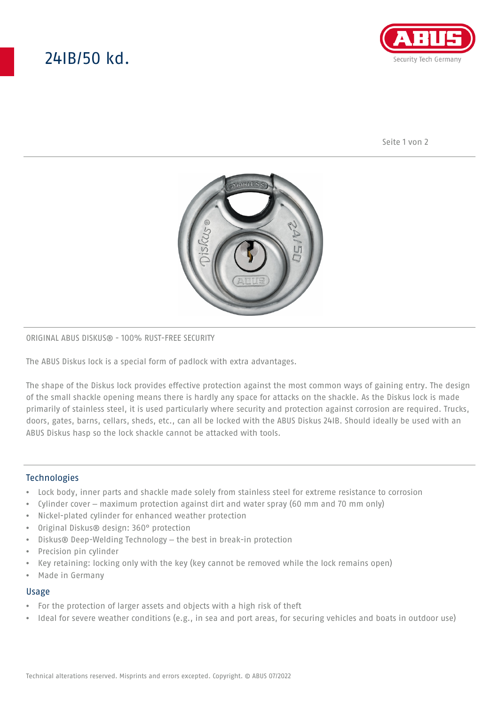# 24IB/50 kd.



Seite 1 von 2



## ORIGINAL ABUS DISKUS® - 100% RUST-FREE SECURITY

The ABUS Diskus lock is a special form of padlock with extra advantages.

The shape of the Diskus lock provides effective protection against the most common ways of gaining entry. The design of the small shackle opening means there is hardly any space for attacks on the shackle. As the Diskus lock is made primarily of stainless steel, it is used particularly where security and protection against corrosion are required. Trucks, doors, gates, barns, cellars, sheds, etc., can all be locked with the ABUS Diskus 24IB. Should ideally be used with an ABUS Diskus hasp so the lock shackle cannot be attacked with tools.

## **Technologies**

- Lock body, inner parts and shackle made solely from stainless steel for extreme resistance to corrosion
- Cylinder cover maximum protection against dirt and water spray (60 mm and 70 mm only)
- Nickel-plated cylinder for enhanced weather protection
- Original Diskus® design: 360° protection
- Diskus® Deep-Welding Technology the best in break-in protection
- Precision pin cylinder
- Key retaining: locking only with the key (key cannot be removed while the lock remains open)
- Made in Germany

#### Usage

- For the protection of larger assets and objects with a high risk of theft
- Ideal for severe weather conditions (e.g., in sea and port areas, for securing vehicles and boats in outdoor use)